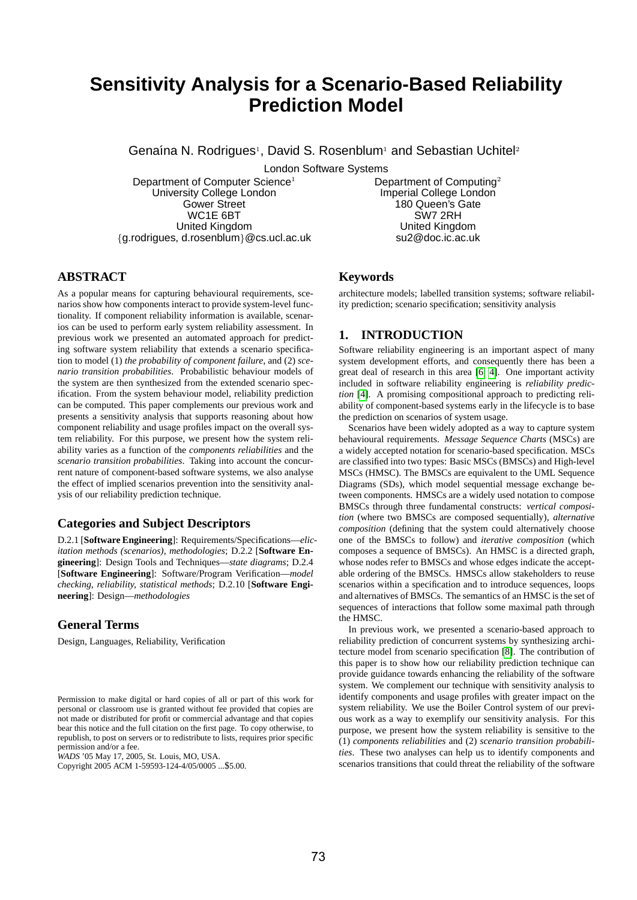# **Sensitivity Analysis for a Scenario-Based Reliability Prediction Model**

Genaína N. Rodrigues<sup>1</sup>, David S. Rosenblum<sup>1</sup> and Sebastian Uchitel<sup>2</sup>

London Software Systems

Department of Computer Science<sup>1</sup> University College London Gower Street WC1E 6BT United Kingdom {g.rodrigues, d.rosenblum}@cs.ucl.ac.uk Department of Computing<sup>2</sup> Imperial College London 180 Queen's Gate SW7 2RH United Kingdom su2@doc.ic.ac.uk

# **ABSTRACT**

As a popular means for capturing behavioural requirements, scenarios show how components interact to provide system-level functionality. If component reliability information is available, scenarios can be used to perform early system reliability assessment. In previous work we presented an automated approach for predicting software system reliability that extends a scenario specification to model (1) *the probability of component failure*, and (2) *scenario transition probabilities*. Probabilistic behaviour models of the system are then synthesized from the extended scenario specification. From the system behaviour model, reliability prediction can be computed. This paper complements our previous work and presents a sensitivity analysis that supports reasoning about how component reliability and usage profiles impact on the overall system reliability. For this purpose, we present how the system reliability varies as a function of the *components reliabilities* and the *scenario transition probabilities*. Taking into account the concurrent nature of component-based software systems, we also analyse the effect of implied scenarios prevention into the sensitivity analysis of our reliability prediction technique.

#### **Categories and Subject Descriptors**

D.2.1 [**Software Engineering**]: Requirements/Specifications—*elicitation methods (scenarios), methodologies*; D.2.2 [**Software Engineering**]: Design Tools and Techniques—*state diagrams*; D.2.4 [**Software Engineering**]: Software/Program Verification—*model checking, reliability, statistical methods*; D.2.10 [**Software Engineering**]: Design—*methodologies*

# **General Terms**

Design, Languages, Reliability, Verification

*WADS* '05 May 17, 2005, St. Louis, MO, USA.

Copyright 2005 ACM 1-59593-124-4/05/0005 ...\$5.00.

# **Keywords**

architecture models; labelled transition systems; software reliability prediction; scenario specification; sensitivity analysis

## **1. INTRODUCTION**

Software reliability engineering is an important aspect of many system development efforts, and consequently there has been a great deal of research in this area [6, 4]. One important activity included in software reliability engineering is *reliability prediction* [4]. A promising compositional approach to predicting reliability of component-based systems early in the lifecycle is to base the prediction on scenarios of system usage.

Scenarios have been widely adopted as a way to capture system behavioural requirements. *Message Sequence Charts* (MSCs) are a widely accepted notation for scenario-based specification. MSCs are classified into two types: Basic MSCs (BMSCs) and High-level MSCs (HMSC). The BMSCs are equivalent to the UML Sequence Diagrams (SDs), which model sequential message exchange between components. HMSCs are a widely used notation to compose BMSCs through three fundamental constructs: *vertical composition* (where two BMSCs are composed sequentially), *alternative composition* (defining that the system could alternatively choose one of the BMSCs to follow) and *iterative composition* (which composes a sequence of BMSCs). An HMSC is a directed graph, whose nodes refer to BMSCs and whose edges indicate the acceptable ordering of the BMSCs. HMSCs allow stakeholders to reuse scenarios within a specification and to introduce sequences, loops and alternatives of BMSCs. The semantics of an HMSC is the set of sequences of interactions that follow some maximal path through the HMSC.

In previous work, we presented a scenario-based approach to reliability prediction of concurrent systems by synthesizing architecture model from scenario specification [8]. The contribution of this paper is to show how our reliability prediction technique can provide guidance towards enhancing the reliability of the software system. We complement our technique with sensitivity analysis to identify components and usage profiles with greater impact on the system reliability. We use the Boiler Control system of our previous work as a way to exemplify our sensitivity analysis. For this purpose, we present how the system reliability is sensitive to the (1) *components reliabilities* and (2) *scenario transition probabilities*. These two analyses can help us to identify components and scenarios transitions that could threat the reliability of the software

Permission to make digital or hard copies of all or part of this work for personal or classroom use is granted without fee provided that copies are not made or distributed for profit or commercial advantage and that copies bear this notice and the full citation on the first page. To copy otherwise, to republish, to post on servers or to redistribute to lists, requires prior specific permission and/or a fee.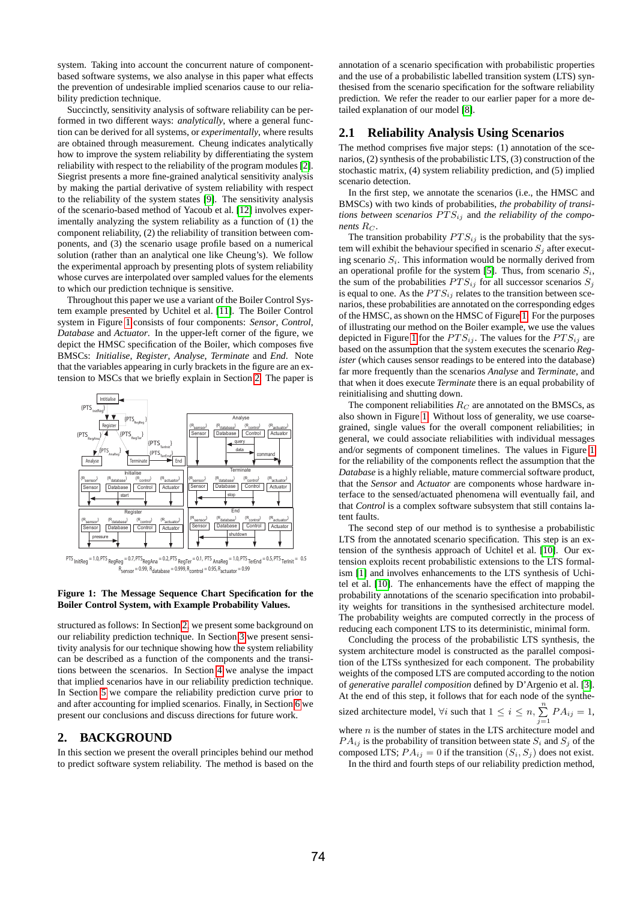system. Taking into account the concurrent nature of componentbased software systems, we also analyse in this paper what effects the prevention of undesirable implied scenarios cause to our reliability prediction technique.

Succinctly, sensitivity analysis of software reliability can be performed in two different ways: *analytically*, where a general function can be derived for all systems, or *experimentally*, where results are obtained through measurement. Cheung indicates analytically how to improve the system reliability by differentiating the system reliability with respect to the reliability of the program modules [2]. Siegrist presents a more fine-grained analytical sensitivity analysis by making the partial derivative of system reliability with respect to the reliability of the system states [9]. The sensitivity analysis of the scenario-based method of Yacoub et al. [12] involves experimentally analyzing the system reliability as a function of (1) the component reliability, (2) the reliability of transition between components, and (3) the scenario usage profile based on a numerical solution (rather than an analytical one like Cheung's). We follow the experimental approach by presenting plots of system reliability whose curves are interpolated over sampled values for the elements to which our prediction technique is sensitive.

Throughout this paper we use a variant of the Boiler Control System example presented by Uchitel et al. [11]. The Boiler Control system in Figure 1 consists of four components: *Sensor*, *Control*, *Database* and *Actuator*. In the upper-left corner of the figure, we depict the HMSC specification of the Boiler, which composes five BMSCs: *Initialise*, *Register*, *Analyse*, *Terminate* and *End*. Note that the variables appearing in curly brackets in the figure are an extension to MSCs that we briefly explain in Section 2. The paper is



 $R_{\text{R}} = 0.99$ ,  $R_{\text{database}} = 0.999$ ,  $R_{\text{control}} = 0.95$ ,  $R_{\text{actualor}} = 0.99$ 

**Figure 1: The Message Sequence Chart Specification for the Boiler Control System, with Example Probability Values.**

structured as follows: In Section 2, we present some background on our reliability prediction technique. In Section 3 we present sensitivity analysis for our technique showing how the system reliability can be described as a function of the components and the transitions between the scenarios. In Section 4 we analyse the impact that implied scenarios have in our reliability prediction technique. In Section 5 we compare the reliability prediction curve prior to and after accounting for implied scenarios. Finally, in Section 6 we present our conclusions and discuss directions for future work.

#### **2. BACKGROUND**

In this section we present the overall principles behind our method to predict software system reliability. The method is based on the

annotation of a scenario specification with probabilistic properties and the use of a probabilistic labelled transition system (LTS) synthesised from the scenario specification for the software reliability prediction. We refer the reader to our earlier paper for a more detailed explanation of our model [8].

### **2.1 Reliability Analysis Using Scenarios**

The method comprises five major steps: (1) annotation of the scenarios, (2) synthesis of the probabilistic LTS, (3) construction of the stochastic matrix, (4) system reliability prediction, and (5) implied scenario detection.

In the first step, we annotate the scenarios (i.e., the HMSC and BMSCs) with two kinds of probabilities, *the probability of transitions between scenarios*  $PTS_{ij}$  and *the reliability of the components*  $R_C$ .

The transition probability  $PTS_{ij}$  is the probability that the system will exhibit the behaviour specified in scenario  $S_i$  after executing scenario  $S_i$ . This information would be normally derived from an operational profile for the system [5]. Thus, from scenario  $S_i$ , the sum of the probabilities  $PTS_{ij}$  for all successor scenarios  $S_j$ is equal to one. As the  $PTS_{ij}$  relates to the transition between scenarios, these probabilities are annotated on the corresponding edges of the HMSC, as shown on the HMSC of Figure 1. For the purposes of illustrating our method on the Boiler example, we use the values depicted in Figure 1 for the  $PT S_{ij}$ . The values for the  $PT S_{ij}$  are based on the assumption that the system executes the scenario *Register* (which causes sensor readings to be entered into the database) far more frequently than the scenarios *Analyse* and *Terminate*, and that when it does execute *Terminate* there is an equal probability of reinitialising and shutting down.

The component reliabilities  $R_C$  are annotated on the BMSCs, as also shown in Figure 1. Without loss of generality, we use coarsegrained, single values for the overall component reliabilities; in general, we could associate reliabilities with individual messages and/or segments of component timelines. The values in Figure 1 for the reliability of the components reflect the assumption that the *Database* is a highly reliable, mature commercial software product, that the *Sensor* and *Actuator* are components whose hardware interface to the sensed/actuated phenomena will eventually fail, and that *Control* is a complex software subsystem that still contains latent faults.

The second step of our method is to synthesise a probabilistic LTS from the annotated scenario specification. This step is an extension of the synthesis approach of Uchitel et al. [10]. Our extension exploits recent probabilistic extensions to the LTS formalism [1] and involves enhancements to the LTS synthesis of Uchitel et al. [10]. The enhancements have the effect of mapping the probability annotations of the scenario specification into probability weights for transitions in the synthesised architecture model. The probability weights are computed correctly in the process of reducing each component LTS to its deterministic, minimal form.

Concluding the process of the probabilistic LTS synthesis, the system architecture model is constructed as the parallel composition of the LTSs synthesized for each component. The probability weights of the composed LTS are computed according to the notion of *generative parallel composition* defined by D'Argenio et al. [3]. At the end of this step, it follows that for each node of the synthe-

sized architecture model,  $\forall i$  such that  $1 \leq i \leq n$ ,  $\sum_{i=1}^{n} P A_{ij} = 1$ ,  $j=1$ 

where  $n$  is the number of states in the LTS architecture model and  $PA_{ij}$  is the probability of transition between state  $S_i$  and  $S_j$  of the composed LTS;  $PA_{ij} = 0$  if the transition  $(S_i, S_j)$  does not exist. In the third and fourth steps of our reliability prediction method,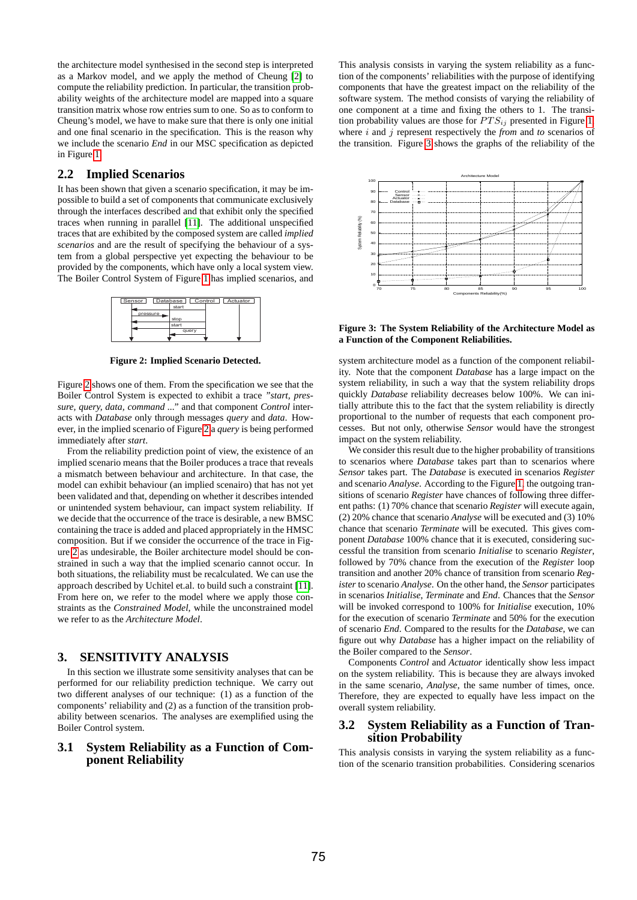the architecture model synthesised in the second step is interpreted as a Markov model, and we apply the method of Cheung [2] to compute the reliability prediction. In particular, the transition probability weights of the architecture model are mapped into a square transition matrix whose row entries sum to one. So as to conform to Cheung's model, we have to make sure that there is only one initial and one final scenario in the specification. This is the reason why we include the scenario *End* in our MSC specification as depicted in Figure 1.

#### **2.2 Implied Scenarios**

It has been shown that given a scenario specification, it may be impossible to build a set of components that communicate exclusively through the interfaces described and that exhibit only the specified traces when running in parallel [11]. The additional unspecified traces that are exhibited by the composed system are called *implied scenarios* and are the result of specifying the behaviour of a system from a global perspective yet expecting the behaviour to be provided by the components, which have only a local system view. The Boiler Control System of Figure 1 has implied scenarios, and

| Control Actuator<br>Sensor<br>Database |       |
|----------------------------------------|-------|
|                                        | start |
| pressure                               |       |
|                                        | stop  |
|                                        | start |
|                                        | query |
|                                        |       |

**Figure 2: Implied Scenario Detected.**

Figure 2 shows one of them. From the specification we see that the Boiler Control System is expected to exhibit a trace *"start, pressure, query, data, command ..."* and that component *Control* interacts with *Database* only through messages *query* and *data*. However, in the implied scenario of Figure 2 a *query* is being performed immediately after *start*.

From the reliability prediction point of view, the existence of an implied scenario means that the Boiler produces a trace that reveals a mismatch between behaviour and architecture. In that case, the model can exhibit behaviour (an implied scenairo) that has not yet been validated and that, depending on whether it describes intended or unintended system behaviour, can impact system reliability. If we decide that the occurrence of the trace is desirable, a new BMSC containing the trace is added and placed appropriately in the HMSC composition. But if we consider the occurrence of the trace in Figure 2 as undesirable, the Boiler architecture model should be constrained in such a way that the implied scenario cannot occur. In both situations, the reliability must be recalculated. We can use the approach described by Uchitel et.al. to build such a constraint [11]. From here on, we refer to the model where we apply those constraints as the *Constrained Model*, while the unconstrained model we refer to as the *Architecture Model*.

# **3. SENSITIVITY ANALYSIS**

In this section we illustrate some sensitivity analyses that can be performed for our reliability prediction technique. We carry out two different analyses of our technique: (1) as a function of the components' reliability and (2) as a function of the transition probability between scenarios. The analyses are exemplified using the Boiler Control system.

### **3.1 System Reliability as a Function of Component Reliability**

This analysis consists in varying the system reliability as a function of the components' reliabilities with the purpose of identifying components that have the greatest impact on the reliability of the software system. The method consists of varying the reliability of one component at a time and fixing the others to 1. The transition probability values are those for  $PTS_{ij}$  presented in Figure 1, where i and j represent respectively the *from* and *to* scenarios of the transition. Figure 3 shows the graphs of the reliability of the



**Figure 3: The System Reliability of the Architecture Model as a Function of the Component Reliabilities.**

system architecture model as a function of the component reliability. Note that the component *Database* has a large impact on the system reliability, in such a way that the system reliability drops quickly *Database* reliability decreases below 100%. We can initially attribute this to the fact that the system reliability is directly proportional to the number of requests that each component processes. But not only, otherwise *Sensor* would have the strongest impact on the system reliability.

We consider this result due to the higher probability of transitions to scenarios where *Database* takes part than to scenarios where *Sensor* takes part. The *Database* is executed in scenarios *Register* and scenario *Analyse*. According to the Figure 1, the outgoing transitions of scenario *Register* have chances of following three different paths: (1) 70% chance that scenario *Register* will execute again, (2) 20% chance that scenario *Analyse* will be executed and (3) 10% chance that scenario *Terminate* will be executed. This gives component *Database* 100% chance that it is executed, considering successful the transition from scenario *Initialise* to scenario *Register*, followed by 70% chance from the execution of the *Register* loop transition and another 20% chance of transition from scenario *Register* to scenario *Analyse*. On the other hand, the *Sensor* participates in scenarios *Initialise*, *Terminate* and *End*. Chances that the *Sensor* will be invoked correspond to 100% for *Initialise* execution, 10% for the execution of scenario *Terminate* and 50% for the execution of scenario *End*. Compared to the results for the *Database*, we can figure out why *Database* has a higher impact on the reliability of the Boiler compared to the *Sensor*.

Components *Control* and *Actuator* identically show less impact on the system reliability. This is because they are always invoked in the same scenario, *Analyse*, the same number of times, once. Therefore, they are expected to equally have less impact on the overall system reliability.

## **3.2 System Reliability as a Function of Transition Probability**

This analysis consists in varying the system reliability as a function of the scenario transition probabilities. Considering scenarios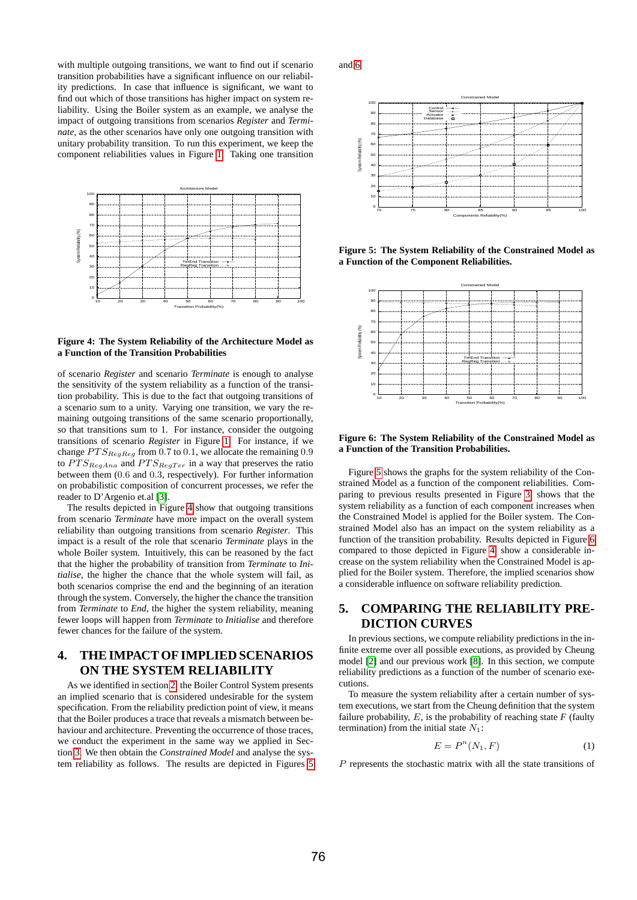with multiple outgoing transitions, we want to find out if scenario transition probabilities have a significant influence on our reliability predictions. In case that influence is significant, we want to find out which of those transitions has higher impact on system reliability. Using the Boiler system as an example, we analyse the impact of outgoing transitions from scenarios *Register* and *Terminate*, as the other scenarios have only one outgoing transition with unitary probability transition. To run this experiment, we keep the component reliabilities values in Figure 1. Taking one transition



#### **Figure 4: The System Reliability of the Architecture Model as a Function of the Transition Probabilities**

of scenario *Register* and scenario *Terminate* is enough to analyse the sensitivity of the system reliability as a function of the transition probability. This is due to the fact that outgoing transitions of a scenario sum to a unity. Varying one transition, we vary the remaining outgoing transitions of the same scenario proportionally, so that transitions sum to 1. For instance, consider the outgoing transitions of scenario *Register* in Figure 1. For instance, if we change  $PTS_{ReqReq}$  from 0.7 to 0.1, we allocate the remaining 0.9 to  $PTS_{RegAna}$  and  $PTS_{RegTer}$  in a way that preserves the ratio between them (0.6 and 0.3, respectively). For further information on probabilistic composition of concurrent processes, we refer the reader to D'Argenio et.al [3].

The results depicted in Figure 4 show that outgoing transitions from scenario *Terminate* have more impact on the overall system reliability than outgoing transitions from scenario *Register*. This impact is a result of the role that scenario *Terminate* plays in the whole Boiler system. Intuitively, this can be reasoned by the fact that the higher the probability of transition from *Terminate* to *Initialise*, the higher the chance that the whole system will fail, as both scenarios comprise the end and the beginning of an iteration through the system. Conversely, the higher the chance the transition from *Terminate* to *End*, the higher the system reliability, meaning fewer loops will happen from *Terminate* to *Initialise* and therefore fewer chances for the failure of the system.

# **4. THE IMPACT OF IMPLIED SCENARIOS ON THE SYSTEM RELIABILITY**

As we identified in section 2, the Boiler Control System presents an implied scenario that is considered undesirable for the system specification. From the reliability prediction point of view, it means that the Boiler produces a trace that reveals a mismatch between behaviour and architecture. Preventing the occurrence of those traces, we conduct the experiment in the same way we applied in Section 3. We then obtain the *Constrained Model* and analyse the system reliability as follows. The results are depicted in Figures 5

and 6.



**Figure 5: The System Reliability of the Constrained Model as a Function of the Component Reliabilities.**



#### **Figure 6: The System Reliability of the Constrained Model as a Function of the Transition Probabilities.**

Figure 5 shows the graphs for the system reliability of the Constrained Model as a function of the component reliabilities. Comparing to previous results presented in Figure 3, shows that the system reliability as a function of each component increases when the Constrained Model is applied for the Boiler system. The Constrained Model also has an impact on the system reliability as a function of the transition probability. Results depicted in Figure 6 compared to those depicted in Figure 4, show a considerable increase on the system reliability when the Constrained Model is applied for the Boiler system. Therefore, the implied scenarios show a considerable influence on software reliability prediction.

# **5. COMPARING THE RELIABILITY PRE-DICTION CURVES**

In previous sections, we compute reliability predictions in the infinite extreme over all possible executions, as provided by Cheung model [2] and our previous work [8]. In this section, we compute reliability predictions as a function of the number of scenario executions.

To measure the system reliability after a certain number of system executions, we start from the Cheung definition that the system failure probability,  $E$ , is the probability of reaching state  $F$  (faulty termination) from the initial state  $N_1$ :

$$
E = P^n(N_1, F) \tag{1}
$$

P represents the stochastic matrix with all the state transitions of